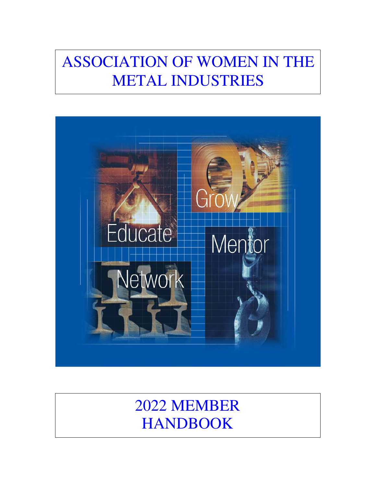# ASSOCIATION OF WOMEN IN THE METAL INDUSTRIES



# 2022 MEMBER HANDBOOK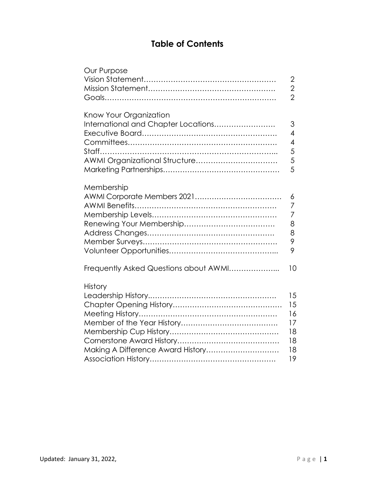# **Table of Contents**

| Our Purpose                                                                                    |                                                      |
|------------------------------------------------------------------------------------------------|------------------------------------------------------|
|                                                                                                | $\overline{2}$                                       |
|                                                                                                | $\overline{2}$                                       |
|                                                                                                | $\overline{2}$                                       |
| Know Your Organization<br>International and Chapter Locations<br>AWMI Organizational Structure | 3<br>$\overline{4}$<br>$\overline{4}$<br>5<br>5<br>5 |
| Membership                                                                                     | 6<br>7<br>7<br>8<br>8<br>9<br>9                      |
| Frequently Asked Questions about AWMI                                                          | 10                                                   |
| <b>History</b><br>Making A Difference Award History                                            | 15<br>15<br>16<br>17<br>18<br>18<br>18<br>19         |
|                                                                                                |                                                      |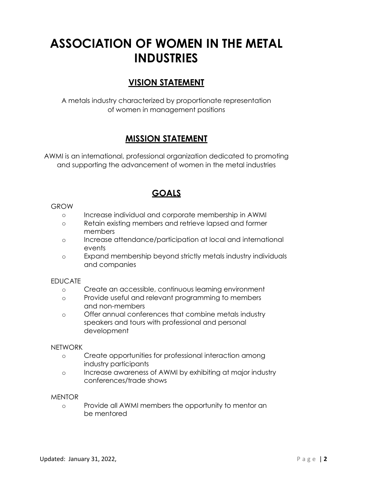# **ASSOCIATION OF WOMEN IN THE METAL INDUSTRIES**

# **VISION STATEMENT**

A metals industry characterized by proportionate representation of women in management positions

# **MISSION STATEMENT**

AWMI is an international, professional organization dedicated to promoting and supporting the advancement of women in the metal industries

# **GOALS**

#### GROW

- o Increase individual and corporate membership in AWMI
- o Retain existing members and retrieve lapsed and former members
- o Increase attendance/participation at local and international events
- o Expand membership beyond strictly metals industry individuals and companies

### EDUCATE

- o Create an accessible, continuous learning environment
- o Provide useful and relevant programming to members and non-members
- o Offer annual conferences that combine metals industry speakers and tours with professional and personal development

#### NETWORK

- o Create opportunities for professional interaction among industry participants
- o Increase awareness of AWMI by exhibiting at major industry conferences/trade shows

### **MENTOR**

o Provide all AWMI members the opportunity to mentor an be mentored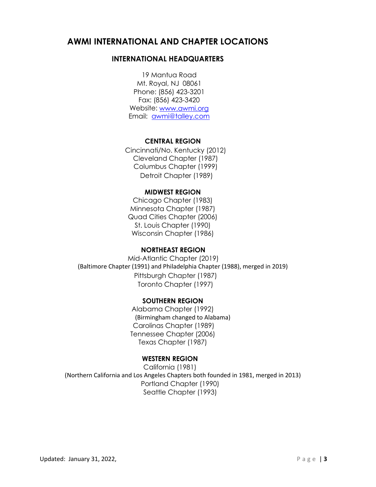# **AWMI INTERNATIONAL AND CHAPTER LOCATIONS**

# **INTERNATIONAL HEADQUARTERS**

19 Mantua Road Mt. Royal, NJ 08061 Phone: (856) 423-3201 Fax: (856) 423-3420 Website: www.awmi.org Email: awmi@talley.com

#### **CENTRAL REGION**

Cincinnati/No. Kentucky (2012) Cleveland Chapter (1987) Columbus Chapter (1999) Detroit Chapter (1989)

#### **MIDWEST REGION**

Chicago Chapter (1983) Minnesota Chapter (1987) Quad Cities Chapter (2006) St. Louis Chapter (1990) Wisconsin Chapter (1986)

### **NORTHEAST REGION**

Mid-Atlantic Chapter (2019) (Baltimore Chapter (1991) and Philadelphia Chapter (1988), merged in 2019) Pittsburgh Chapter (1987) Toronto Chapter (1997)

### **SOUTHERN REGION**

Alabama Chapter (1992) (Birmingham changed to Alabama) Carolinas Chapter (1989) Tennessee Chapter (2006) Texas Chapter (1987)

### **WESTERN REGION**

California (1981) (Northern California and Los Angeles Chapters both founded in 1981, merged in 2013) Portland Chapter (1990) Seattle Chapter (1993)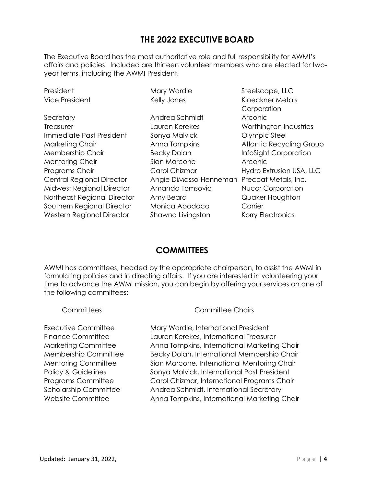# **THE 2022 EXECUTIVE BOARD**

The Executive Board has the most authoritative role and full responsibility for AWMI's affairs and policies. Included are thirteen volunteer members who are elected for twoyear terms, including the AWMI President.

| President                        | Mary Wardle                                 | Steelscape, LLC          |
|----------------------------------|---------------------------------------------|--------------------------|
| Vice President                   | Kelly Jones                                 | <b>Kloeckner Metals</b>  |
|                                  |                                             | Corporation              |
| Secretary                        | Andrea Schmidt                              | Arconic                  |
| Treasurer                        | Lauren Kerekes                              | Worthington Industries   |
| Immediate Past President         | Sonya Malvick                               | <b>Olympic Steel</b>     |
| Marketing Chair                  | Anna Tompkins                               | Atlantic Recycling Group |
| Membership Chair                 | <b>Becky Dolan</b>                          | InfoSight Corporation    |
| <b>Mentoring Chair</b>           | Sian Marcone                                | Arconic                  |
| Programs Chair                   | Carol Chizmar                               | Hydro Extrusion USA, LLC |
| <b>Central Regional Director</b> | Angie DiMasso-Henneman Precoat Metals, Inc. |                          |
| Midwest Regional Director        | Amanda Tomsovic                             | <b>Nucor Corporation</b> |
| Northeast Regional Director      | Amy Beard                                   | Quaker Houghton          |
| Southern Regional Director       | Monica Apodaca                              | Carrier                  |
| Western Regional Director        | Shawna Livingston                           | Korry Electronics        |
|                                  |                                             |                          |

# **COMMITTEES**

AWMI has committees, headed by the appropriate chairperson, to assist the AWMI in formulating policies and in directing affairs. If you are interested in volunteering your time to advance the AWMI mission, you can begin by offering your services on one of the following committees:

Committees Committee Chairs

Executive Committee Mary Wardle, International President Finance Committee Lauren Kerekes, International Treasurer Marketing Committee Anna Tompkins, International Marketing Chair Membership Committee Becky Dolan, International Membership Chair Mentoring Committee Sian Marcone, International Mentoring Chair Policy & Guidelines Sonya Malvick, International Past President Programs Committee Carol Chizmar, International Programs Chair Scholarship Committee Andrea Schmidt, International Secretary Website Committee **Anna Tompkins, International Marketing Chair**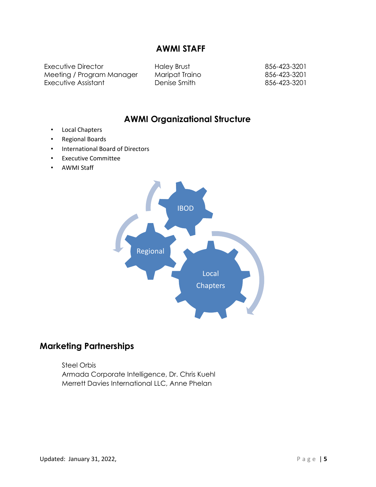# **AWMI STAFF**

Executive Director **Haley Brust** 856-423-3201 Meeting / Program Manager Maripat Traino 856-423-3201 Executive Assistant **Denise Smith Branch** B56-423-3201

# **AWMI Organizational Structure**

- Local Chapters
- Regional Boards
- International Board of Directors
- Executive Committee
- AWMI Staff



# **Marketing Partnerships**

Steel Orbis Armada Corporate Intelligence, Dr. Chris Kuehl Merrett Davies International LLC, Anne Phelan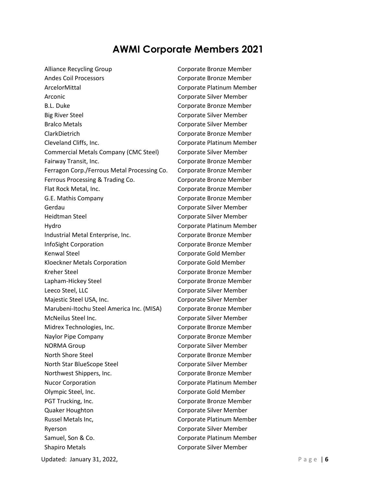# **AWMI Corporate Members 2021**

Alliance Recycling Group Corporate Bronze Member Andes Coil Processors **Communists** Corporate Bronze Member ArcelorMittal Corporate Platinum Member Arconic **Corporate Silver Member** B.L. Duke Corporate Bronze Member Big River Steel **Corporate Silver Member** Bralco Metals Corporate Silver Member ClarkDietrich Corporate Bronze Member Cleveland Cliffs, Inc. Corporate Platinum Member Commercial Metals Company (CMC Steel) Corporate Silver Member Fairway Transit, Inc. The Corporate Bronze Member Ferragon Corp./Ferrous Metal Processing Co. Corporate Bronze Member Ferrous Processing & Trading Co. Corporate Bronze Member Flat Rock Metal, Inc. The Corporate Bronze Member G.E. Mathis Company Corporate Bronze Member Gerdau Corporate Silver Member Heidtman Steel **Communisty** Corporate Silver Member Hydro Corporate Platinum Member Industrial Metal Enterprise, Inc. Corporate Bronze Member InfoSight Corporation Corporate Bronze Member Kenwal Steel **Corporate Gold Member** Kloeckner Metals Corporation Corporate Gold Member Kreher Steel **Corporate Bronze Member** Lapham-Hickey Steel **Corporate Bronze Member** Leeco Steel, LLC **Corporate Silver Member** Majestic Steel USA, Inc. Corporate Silver Member Marubeni-Itochu Steel America Inc. (MISA) Corporate Bronze Member McNeilus Steel Inc. **Corporate Silver Member** Midrex Technologies, Inc. Corporate Bronze Member Naylor Pipe Company **Company** Corporate Bronze Member NORMA Group **Corporate Silver Member** North Shore Steel **North Shore Steel** Corporate Bronze Member North Star BlueScope Steel Corporate Silver Member Northwest Shippers, Inc. Corporate Bronze Member Nucor Corporation **Nucor Corporation** Corporate Platinum Member Olympic Steel, Inc. Corporate Gold Member PGT Trucking, Inc. The Corporate Bronze Member Quaker Houghton Corporate Silver Member Russel Metals Inc, The Corporate Platinum Member Ryerson Corporate Silver Member Samuel, Son & Co. Corporate Platinum Member Shapiro Metals **Communists** Corporate Silver Member

Updated: January 31, 2022, **P** a g e  $\vert$  6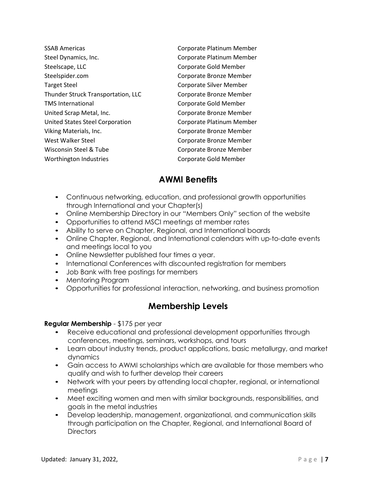| <b>SSAB Americas</b>               | Corporate Platinum Member |
|------------------------------------|---------------------------|
| Steel Dynamics, Inc.               | Corporate Platinum Member |
| Steelscape, LLC                    | Corporate Gold Member     |
| Steelspider.com                    | Corporate Bronze Member   |
| <b>Target Steel</b>                | Corporate Silver Member   |
| Thunder Struck Transportation, LLC | Corporate Bronze Member   |
| <b>TMS International</b>           | Corporate Gold Member     |
| United Scrap Metal, Inc.           | Corporate Bronze Member   |
| United States Steel Corporation    | Corporate Platinum Member |
| Viking Materials, Inc.             | Corporate Bronze Member   |
| West Walker Steel                  | Corporate Bronze Member   |
| Wisconsin Steel & Tube             | Corporate Bronze Member   |
| Worthington Industries             | Corporate Gold Member     |
|                                    |                           |

# **AWMI Benefits**

- Continuous networking, education, and professional growth opportunities through International and your Chapter(s)
- Online Membership Directory in our "Members Only" section of the website
- Opportunities to attend MSCI meetings at member rates
- Ability to serve on Chapter, Regional, and International boards
- Online Chapter, Regional, and International calendars with up-to-date events and meetings local to you
- Online Newsletter published four times a year.
- International Conferences with discounted registration for members
- Job Bank with free postings for members
- Mentoring Program
- Opportunities for professional interaction, networking, and business promotion

# **Membership Levels**

# **Regular Membership** - \$175 per year

- Receive educational and professional development opportunities through conferences, meetings, seminars, workshops, and tours
- Learn about industry trends, product applications, basic metallurgy, and market dynamics
- Gain access to AWMI scholarships which are available for those members who qualify and wish to further develop their careers
- Network with your peers by attending local chapter, regional, or international meetings
- Meet exciting women and men with similar backgrounds, responsibilities, and goals in the metal industries
- Develop leadership, management, organizational, and communication skills through participation on the Chapter, Regional, and International Board of Directors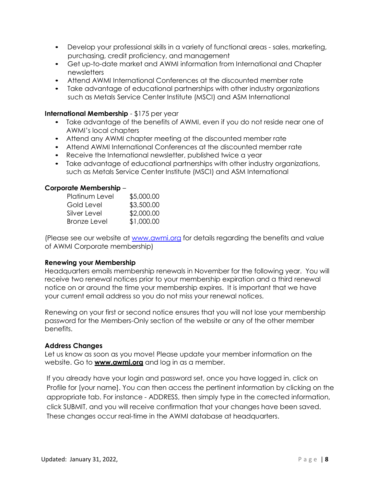- Develop your professional skills in a variety of functional areas sales, marketing, purchasing, credit proficiency, and management
- Get up-to-date market and AWMI information from International and Chapter newsletters
- Attend AWMI International Conferences at the discounted member rate
- Take advantage of educational partnerships with other industry organizations such as Metals Service Center Institute (MSCI) and ASM International

#### **International Membership** - \$175 per year

- Take advantage of the benefits of AWMI, even if you do not reside near one of AWMI's local chapters
- Attend any AWMI chapter meeting at the discounted member rate
- Attend AWMI International Conferences at the discounted member rate
- Receive the International newsletter, published twice a year
- Take advantage of educational partnerships with other industry organizations, such as Metals Service Center Institute (MSCI) and ASM International

#### **Corporate Membership** –

| <b>Platinum Level</b> | \$5,000.00 |
|-----------------------|------------|
| Gold Level            | \$3,500.00 |
| Silver Level          | \$2,000.00 |
| <b>Bronze Level</b>   | \$1,000.00 |

(Please see our website at www.awmi.org for details regarding the benefits and value of AWMI Corporate membership)

#### **Renewing your Membership**

Headquarters emails membership renewals in November for the following year. You will receive two renewal notices prior to your membership expiration and a third renewal notice on or around the time your membership expires. It is important that we have your current email address so you do not miss your renewal notices.

Renewing on your first or second notice ensures that you will not lose your membership password for the Members-Only section of the website or any of the other member benefits.

#### **Address Changes**

Let us know as soon as you move! Please update your member information on the website. Go to **www.awmi.org** and log in as a member.

If you already have your login and password set, once you have logged in, click on Profile for [your name]. You can then access the pertinent information by clicking on the appropriate tab. For instance - ADDRESS, then simply type in the corrected information, click SUBMIT, and you will receive confirmation that your changes have been saved. These changes occur real-time in the AWMI database at headquarters.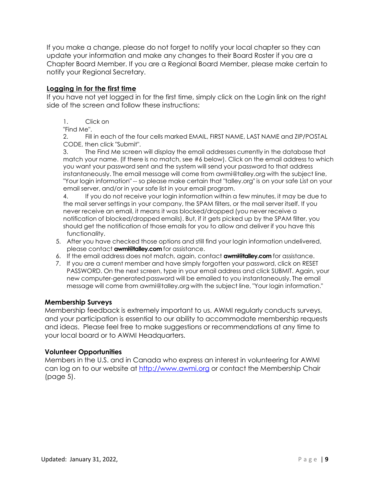If you make a change, please do not forget to notify your local chapter so they can update your information and make any changes to their Board Roster if you are a Chapter Board Member. If you are a Regional Board Member, please make certain to notify your Regional Secretary.

## **Logging in for the first time**

If you have not yet logged in for the first time, simply click on the Login link on the right side of the screen and follow these instructions:

1. Click on

"Find Me".

2. Fill in each of the four cells marked EMAIL, FIRST NAME, LAST NAME and ZIP/POSTAL CODE, then click "Submit".

3. The Find Me screen will display the email addresses currently in the database that match your name. (If there is no match, see #6 below). Click on the email address to which you want your password sent and the system will send your password to that address instantaneously. The email message will come from awmi@talley.org with the subject line, "Your login information" -- so please make certain that "talley.org" is on your safe List on your email server, and/or in your safe list in your email program.

4. If you do not receive your login information within a few minutes, it may be due to the mail server settings in your company, the SPAM filters, or the mail server itself. If you never receive an email, it means it was blocked/dropped (you never receive a notification of blocked/dropped emails). But, if it gets picked up by the SPAM filter, you should get the notification of those emails for you to allow and deliver if you have this functionality.

- 5. After you have checked those options and still find your login information undelivered, please contact **awmi@talley.com** for assistance.
- 6. If the email address does not match, again, contact **awmi@talley.com** for assistance.
- 7. If you are a current member and have simply forgotten your password, click on RESET PASSWORD. On the next screen, type in your email address and click SUBMIT. Again, your new computer-generated password will be emailed to you instantaneously. The email message will come from awmi@talley.org with the subject line, "Your login information."

### **Membership Surveys**

Membership feedback is extremely important to us. AWMI regularly conducts surveys, and your participation is essential to our ability to accommodate membership requests and ideas. Please feel free to make suggestions or recommendations at any time to your local board or to AWMI Headquarters.

### **Volunteer Opportunities**

Members in the U.S. and in Canada who express an interest in volunteering for AWMI can log on to our website at http://www.awmi.org or contact the Membership Chair (page 5).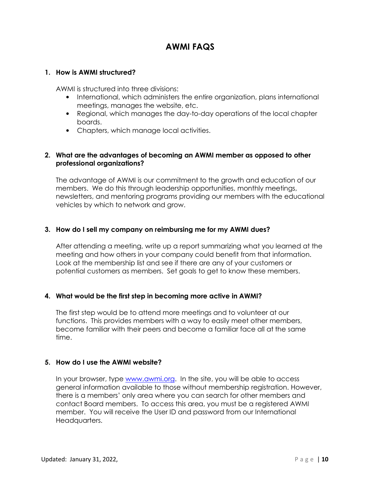# **AWMI FAQS**

## **1. How is AWMI structured?**

AWMI is structured into three divisions:

- International, which administers the entire organization, plans international meetings, manages the website, etc.
- Regional, which manages the day-to-day operations of the local chapter boards.
- Chapters, which manage local activities.

## **2. What are the advantages of becoming an AWMI member as opposed to other professional organizations?**

The advantage of AWMI is our commitment to the growth and education of our members. We do this through leadership opportunities, monthly meetings, newsletters, and mentoring programs providing our members with the educational vehicles by which to network and grow.

## **3. How do I sell my company on reimbursing me for my AWMI dues?**

After attending a meeting, write up a report summarizing what you learned at the meeting and how others in your company could benefit from that information. Look at the membership list and see if there are any of your customers or potential customers as members. Set goals to get to know these members.

# **4. What would be the first step in becoming more active in AWMI?**

The first step would be to attend more meetings and to volunteer at our functions. This provides members with a way to easily meet other members, become familiar with their peers and become a familiar face all at the same time.

### **5. How do I use the AWMI website?**

In your browser, type www.awmi.org. In the site, you will be able to access general information available to those without membership registration. However, there is a members' only area where you can search for other members and contact Board members. To access this area, you must be a registered AWMI member. You will receive the User ID and password from our International Headauarters.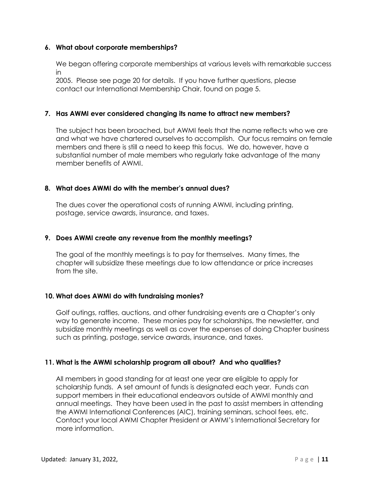## **6. What about corporate memberships?**

We began offering corporate memberships at various levels with remarkable success in

2005. Please see page 20 for details. If you have further questions, please contact our International Membership Chair, found on page 5.

## **7. Has AWMI ever considered changing its name to attract new members?**

The subject has been broached, but AWMI feels that the name reflects who we are and what we have chartered ourselves to accomplish. Our focus remains on female members and there is still a need to keep this focus. We do, however, have a substantial number of male members who regularly take advantage of the many member benefits of AWMI.

### **8. What does AWMI do with the member's annual dues?**

The dues cover the operational costs of running AWMI, including printing, postage, service awards, insurance, and taxes.

## **9. Does AWMI create any revenue from the monthly meetings?**

The goal of the monthly meetings is to pay for themselves. Many times, the chapter will subsidize these meetings due to low attendance or price increases from the site.

# **10. What does AWMI do with fundraising monies?**

Golf outings, raffles, auctions, and other fundraising events are a Chapter's only way to generate income. These monies pay for scholarships, the newsletter, and subsidize monthly meetings as well as cover the expenses of doing Chapter business such as printing, postage, service awards, insurance, and taxes.

### **11. What is the AWMI scholarship program all about? And who qualifies?**

All members in good standing for at least one year are eligible to apply for scholarship funds. A set amount of funds is designated each year. Funds can support members in their educational endeavors outside of AWMI monthly and annual meetings. They have been used in the past to assist members in attending the AWMI International Conferences (AIC), training seminars, school fees, etc. Contact your local AWMI Chapter President or AWMI's International Secretary for more information.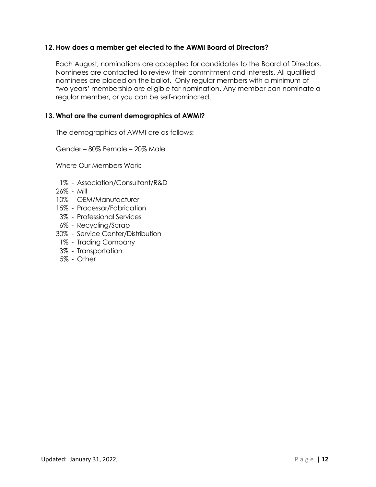## **12. How does a member get elected to the AWMI Board of Directors?**

Each August, nominations are accepted for candidates to the Board of Directors. Nominees are contacted to review their commitment and interests. All qualified nominees are placed on the ballot. Only regular members with a minimum of two years' membership are eligible for nomination. Any member can nominate a regular member, or you can be self-nominated.

### **13. What are the current demographics of AWMI?**

The demographics of AWMI are as follows:

Gender – 80% Female – 20% Male

Where Our Members Work:

- 1% Association/Consultant/R&D
- 26% Mill
- 10% OEM/Manufacturer
- 15% Processor/Fabrication
- 3% Professional Services
- 6% Recycling/Scrap
- 30% Service Center/Distribution
	- 1% Trading Company
- 3% Transportation
- 5% Other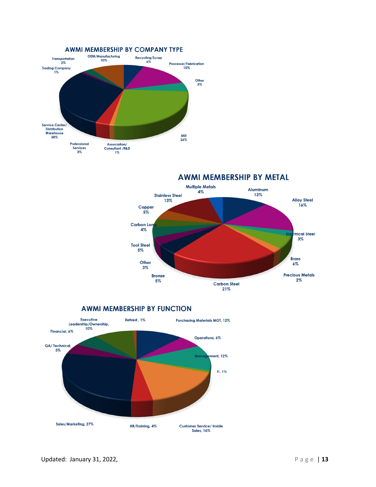

**AWMI MEMBERSHIP BY METAL** 



**AWMI MEMBERSHIP BY FUNCTION** 

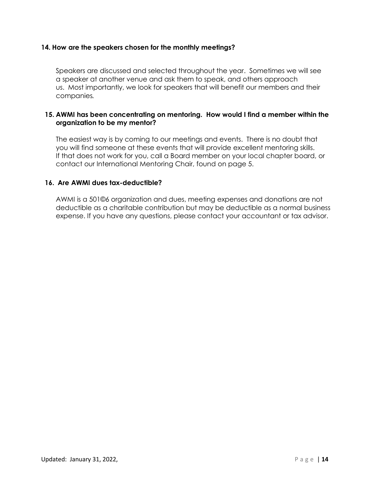## **14. How are the speakers chosen for the monthly meetings?**

Speakers are discussed and selected throughout the year. Sometimes we will see a speaker at another venue and ask them to speak, and others approach us. Most importantly, we look for speakers that will benefit our members and their companies*.*

## **15. AWMI has been concentrating on mentoring. How would I find a member within the organization to be my mentor?**

The easiest way is by coming to our meetings and events. There is no doubt that you will find someone at these events that will provide excellent mentoring skills. If that does not work for you, call a Board member on your local chapter board, or contact our International Mentoring Chair, found on page 5.

### **16. Are AWMI dues tax-deductible?**

AWMI is a 501©6 organization and dues, meeting expenses and donations are not deductible as a charitable contribution but may be deductible as a normal business expense. If you have any questions, please contact your accountant or tax advisor.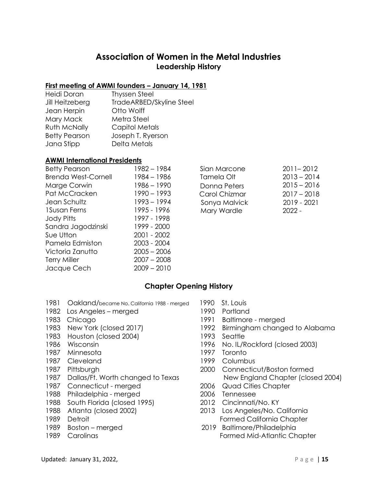# **Association of Women in the Metal Industries Leadership History**

### **First meeting of AWMI founders – January 14, 1981**

Heidi Doran Thyssen Steel Jill Heitzeberg TradeARBED/Skyline Steel Jean Herpin Otto Wolff Mary Mack Metra Steel Ruth McNally Capitol Metals Betty Pearson Joseph T. Ryerson Jana Stipp Delta Metals

#### **AWMI International Presidents**

| 1982 - 1984   | Sian Marcone  | $2011 - 2012$ |
|---------------|---------------|---------------|
| 1984 - 1986   | Tamela Olt    | $2013 - 2014$ |
| 1986 – 1990   | Donna Peters  | $2015 - 2016$ |
| $1990 - 1993$ | Carol Chizmar | $2017 - 2018$ |
| $1993 - 1994$ | Sonya Malvick | 2019 - 2021   |
| 1995 - 1996   | Mary Wardle   | $2022 -$      |
| 1997 - 1998   |               |               |
| 1999 - 2000   |               |               |
| 2001 - 2002   |               |               |
| $2003 - 2004$ |               |               |
| $2005 - 2006$ |               |               |
| $2007 - 2008$ |               |               |
| $2009 - 2010$ |               |               |
|               |               |               |

| $2011 - 2012$ |
|---------------|
| $2013 - 2014$ |
| $2015 - 2016$ |
| $2017 - 2018$ |
| 2019 - 2021   |
| $2022 -$      |
|               |

# **Chapter Opening History**

- 1981 Oakland/became No. California 1988 merged 1990 St. Louis
- 1982 Los Angeles merged 1990 Portland
- 
- 
- 1983 Houston (closed 2004) 1993 Seattle
- 
- 1987 Minnesota 1997 Toronto
- 1987 Cleveland 1999 Columbus
- 
- 
- 1987 Connecticut merged 2006 Quad Cities Chapter
- 1988 Philadelphia merged 2006 Tennessee
- 1988 South Florida (closed 1995) 2012 Cincinnati/No. KY
- 
- 
- 
- 
- 
- 
- 1983 Chicago 1991 Baltimore merged
- 1983 New York (closed 2017) 1992 Birmingham changed to Alabama
	-
- 1986 Wisconsin 1996 No. IL/Rockford (closed 2003)
	-
	-
- 1987 Pittsburgh 2000 Connecticut/Boston formed 1987 Dallas/Ft. Worth changed to Texas New England Chapter (closed 2004)
	-
	-
	-
- 1988 Atlanta (closed 2002) 2013 Los Angeles/No. California 1989 Detroit **Formed California Chapter**
- 1989 Boston merged 2019 Baltimore/Philadelphia 1989 Carolinas **Formed Mid-Atlantic Chapter** Formed Mid-Atlantic Chapter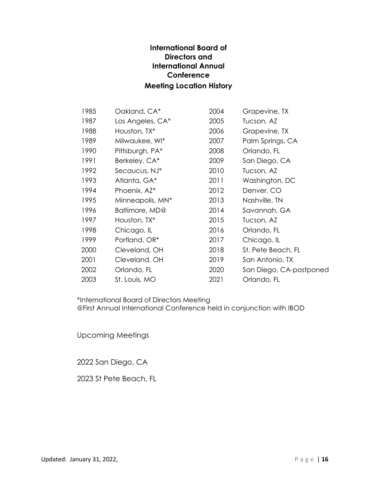# **International Board of Directors and International Annual Conference Meeting Location History**

| 1985 | Oakland, CA*     | 2004 | Grapevine, TX           |
|------|------------------|------|-------------------------|
| 1987 | Los Angeles, CA* | 2005 | Tucson, AZ              |
| 1988 | Houston, TX*     | 2006 | Grapevine, TX           |
| 1989 | Milwaukee, WI*   | 2007 | Palm Springs, CA        |
| 1990 | Pittsburgh, PA*  | 2008 | Orlando, FL             |
| 1991 | Berkeley, CA*    | 2009 | San Diego, CA           |
| 1992 | Secaucus, NJ*    | 2010 | Tucson, AZ              |
| 1993 | Atlanta, GA*     | 2011 | Washington, DC          |
| 1994 | Phoenix, AZ*     | 2012 | Denver, CO              |
| 1995 | Minneapolis, MN* | 2013 | Nashville, TN           |
| 1996 | Baltimore, MD@   | 2014 | Savannah, GA            |
| 1997 | Houston, TX*     | 2015 | Tucson, AZ              |
| 1998 | Chicago, IL      | 2016 | Orlando, FL             |
| 1999 | Portland, OR*    | 2017 | Chicago, IL             |
| 2000 | Cleveland, OH    | 2018 | St. Pete Beach, FL      |
| 2001 | Cleveland, OH    | 2019 | San Antonio, TX         |
| 2002 | Orlando, FL      | 2020 | San Diego, CA-postponed |
| 2003 | St. Louis, MO    | 2021 | Orlando, FL             |

\*International Board of Directors Meeting @First Annual International Conference held in conjunction with IBOD

Upcoming Meetings

2022 San Diego, CA

2023 St Pete Beach, FL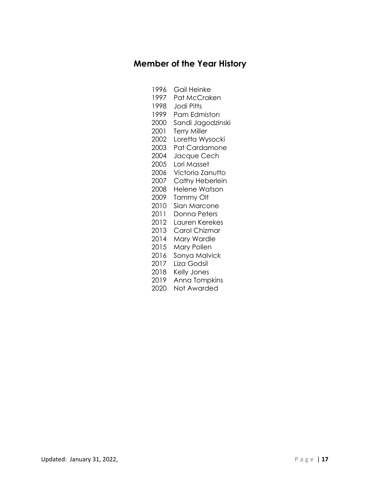# **Member of the Year History**

- 1996 Gail Heinke
- 1997 Pat McCraken
- 1998 Jodi Pitts
- 1999 Pam Edmiston
- 2000 Sandi Jagodzinski
- 2001 Terry Miller
- 2002 Loretta Wysocki
- 2003 Pat Cardamone
- 2004 Jacque Cech
- 2005 Lori Masset
- 2006 Victoria Zanutto
- 2007 Cathy Heberlein
- 2008 Helene Watson
- 2009 Tammy Olt
- 2010 Sian Marcone
- 2011 Donna Peters
- 2012 Lauren Kerekes
- 2013 Carol Chizmar
- 2014 Mary Wardle
- 2015 Mary Pollen
- 2016 Sonya Malvick
- 2017 Liza Godsil
- 2018 Kelly Jones
- 2019 Anna Tompkins
- 2020 Not Awarded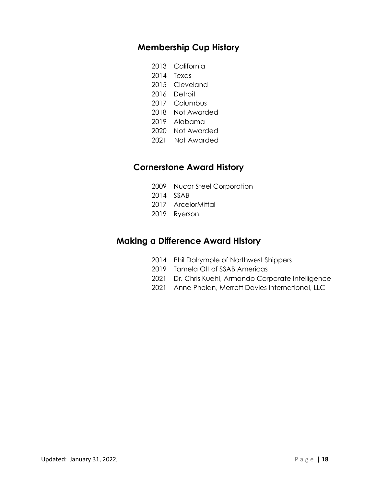# **Membership Cup History**

- 2013 California
- 2014 Texas
- 2015 Cleveland
- 2016 Detroit
- 2017 Columbus
- 2018 Not Awarded
- 2019 Alabama
- 2020 Not Awarded
- 2021 Not Awarded

# **Cornerstone Award History**

- 2009 Nucor Steel Corporation
- 2014 SSAB
- 2017 ArcelorMittal
- 2019 Ryerson

# **Making a Difference Award History**

- 2014 Phil Dalrymple of Northwest Shippers
- 2019 Tamela Olt of SSAB Americas
- 2021 Dr. Chris Kuehl, Armando Corporate Intelligence
- 2021 Anne Phelan, Merrett Davies International, LLC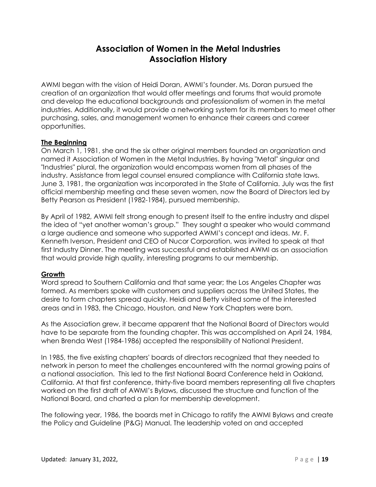# **Association of Women in the Metal Industries Association History**

AWMI began with the vision of Heidi Doran, AWMI's founder. Ms. Doran pursued the creation of an organization that would offer meetings and forums that would promote and develop the educational backgrounds and professionalism of women in the metal industries. Additionally, it would provide a networking system for its members to meet other purchasing, sales, and management women to enhance their careers and career opportunities.

## **The Beginning**

On March 1, 1981, she and the six other original members founded an organization and named it Association of Women in the Metal Industries. By having "Metal" singular and "Industries" plural, the organization would encompass women from all phases of the industry. Assistance from legal counsel ensured compliance with California state laws. June 3, 1981, the organization was incorporated in the State of California. July was the first official membership meeting and these seven women, now the Board of Directors led by Betty Pearson as President (1982-1984), pursued membership.

By April of 1982, AWMI felt strong enough to present itself to the entire industry and dispel the idea of "yet another woman's group." They sought a speaker who would command a large audience and someone who supported AWMI's concept and ideas. Mr. F. Kenneth Iverson, President and CEO of Nucor Corporation, was invited to speak at that first Industry Dinner. The meeting was successful and established AWMI as an association that would provide high quality, interesting programs to our membership.

# **Growth**

Word spread to Southern California and that same year; the Los Angeles Chapter was formed. As members spoke with customers and suppliers across the United States, the desire to form chapters spread quickly. Heidi and Betty visited some of the interested areas and in 1983, the Chicago, Houston, and New York Chapters were born.

As the Association grew, it became apparent that the National Board of Directors would have to be separate from the founding chapter. This was accomplished on April 24, 1984, when Brenda West (1984-1986) accepted the responsibility of National President.

In 1985, the five existing chapters' boards of directors recognized that they needed to network in person to meet the challenges encountered with the normal growing pains of a national association. This led to the first National Board Conference held in Oakland, California. At that first conference, thirty-five board members representing all five chapters worked on the first draft of AWMI's Bylaws, discussed the structure and function of the National Board, and charted a plan for membership development.

The following year, 1986, the boards met in Chicago to ratify the AWMI Bylaws and create the Policy and Guideline (P&G) Manual. The leadership voted on and accepted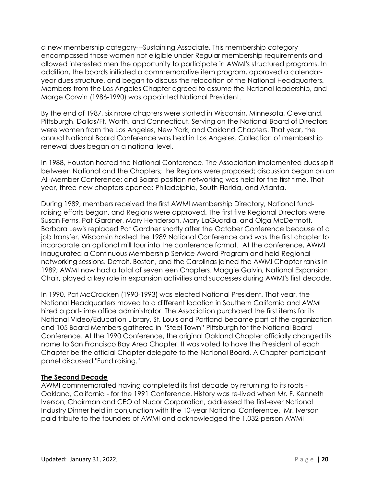a new membership category---Sustaining Associate. This membership category encompassed those women not eligible under Regular membership requirements and allowed interested men the opportunity to participate in AWMI's structured programs. In addition, the boards initiated a commemorative item program, approved a calendaryear dues structure, and began to discuss the relocation of the National Headquarters. Members from the Los Angeles Chapter agreed to assume the National leadership, and Marge Corwin (1986-1990) was appointed National President.

By the end of 1987, six more chapters were started in Wisconsin, Minnesota, Cleveland, Pittsburgh, Dallas/Ft. Worth, and Connecticut. Serving on the National Board of Directors were women from the Los Angeles, New York, and Oakland Chapters. That year, the annual National Board Conference was held in Los Angeles. Collection of membership renewal dues began on a national level.

In 1988, Houston hosted the National Conference. The Association implemented dues split between National and the Chapters; the Regions were proposed; discussion began on an All-Member Conference; and Board position networking was held for the first time. That year, three new chapters opened: Philadelphia, South Florida, and Atlanta.

During 1989, members received the first AWMI Membership Directory, National fundraising efforts began, and Regions were approved. The first five Regional Directors were Susan Ferns, Pat Gardner, Mary Henderson, Mary LaGuardia, and Olga McDermott. Barbara Lewis replaced Pat Gardner shortly after the October Conference because of a job transfer. Wisconsin hosted the 1989 National Conference and was the first chapter to incorporate an optional mill tour into the conference format. At the conference, AWMI inaugurated a Continuous Membership Service Award Program and held Regional networking sessions. Detroit, Boston, and the Carolinas joined the AWMI Chapter ranks in 1989; AWMI now had a total of seventeen Chapters. Maggie Galvin, National Expansion Chair, played a key role in expansion activities and successes during AWMI's first decade.

In 1990, Pat McCracken (1990-1993) was elected National President. That year, the National Headquarters moved to a different location in Southern California and AWMI hired a part-time office administrator. The Association purchased the first items for its National Video/Education Library. St. Louis and Portland became part of the organization and 105 Board Members gathered in "Steel Town" Pittsburgh for the National Board Conference. At the 1990 Conference, the original Oakland Chapter officially changed its name to San Francisco Bay Area Chapter. It was voted to have the President of each Chapter be the official Chapter delegate to the National Board. A Chapter-participant panel discussed "Fund raising."

# **The Second Decade**

AWMI commemorated having completed its first decade by returning to its roots - Oakland, California - for the 1991 Conference. History was re-lived when Mr. F. Kenneth Iverson, Chairman and CEO of Nucor Corporation, addressed the first-ever National Industry Dinner held in conjunction with the 10-year National Conference. Mr. Iverson paid tribute to the founders of AWMI and acknowledged the 1,032-person AWMI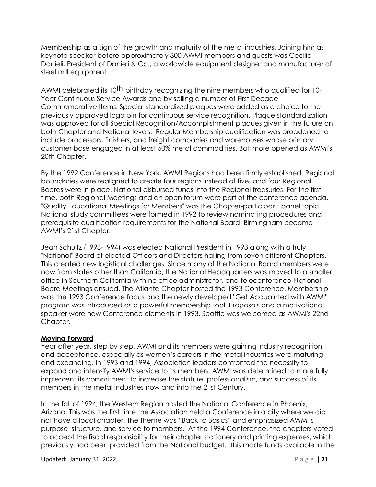Membership as a sign of the growth and maturity of the metal industries. Joining him as keynote speaker before approximately 300 AWMI members and guests was Cecilia Danieli, President of Danieli & Co., a worldwide equipment designer and manufacturer of steel mill equipment.

AWMI celebrated its 10<sup>th</sup> birthday recognizing the nine members who qualified for 10-Year Continuous Service Awards and by selling a number of First Decade Commemorative Items. Special standardized plaques were added as a choice to the previously approved logo pin for continuous service recognition. Plaque standardization was approved for all Special Recognition/Accomplishment plaques given in the future on both Chapter and National levels. Regular Membership qualification was broadened to include processors, finishers, and freight companies and warehouses whose primary customer base engaged in at least 50% metal commodities. Baltimore opened as AWMI's 20th Chapter.

By the 1992 Conference in New York, AWMI Regions had been firmly established. Regional boundaries were realigned to create four regions instead of five, and four Regional Boards were in place. National disbursed funds into the Regional treasuries. For the first time, both Regional Meetings and an open forum were part of the conference agenda. "Quality Educational Meetings for Members" was the Chapter-participant panel topic. National study committees were formed in 1992 to review nominating procedures and prerequisite qualification requirements for the National Board. Birmingham became AWMI's 21st Chapter.

Jean Schultz (1993-1994) was elected National President in 1993 along with a truly "National" Board of elected Officers and Directors hailing from seven different Chapters. This created new logistical challenges. Since many of the National Board members were now from states other than California, the National Headquarters was moved to a smaller office in Southern California with no office administrator, and teleconference National Board Meetings ensued. The Atlanta Chapter hosted the 1993 Conference. Membership was the 1993 Conference focus and the newly developed "Get Acquainted with AWMI" program was introduced as a powerful membership tool. Proposals and a motivational speaker were new Conference elements in 1993. Seattle was welcomed as AWMI's 22nd Chapter.

### **Moving Forward**

Year after year, step by step, AWMI and its members were gaining industry recognition and acceptance, especially as women's careers in the metal industries were maturing and expanding. In 1993 and 1994, Association leaders confronted the necessity to expand and intensify AWMI's service to its members. AWMI was determined to more fully implement its commitment to increase the stature, professionalism, and success of its members in the metal industries now and into the 21st Century.

In the fall of 1994, the Western Region hosted the National Conference in Phoenix, Arizona. This was the first time the Association held a Conference in a city where we did not have a local chapter. The theme was "Back to Basics" and emphasized AWMI's purpose, structure, and service to members. At the 1994 Conference, the chapters voted to accept the fiscal responsibility for their chapter stationery and printing expenses, which previously had been provided from the National budget. This made funds available in the

Updated: January 31, 2022, P a g e | **21**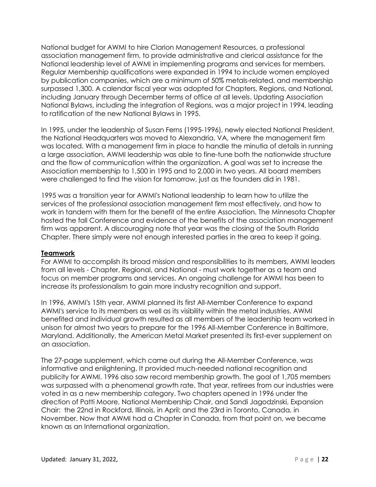National budget for AWMI to hire Clarion Management Resources, a professional association management firm, to provide administrative and clerical assistance for the National leadership level of AWMI in implementing programs and services for members. Regular Membership qualifications were expanded in 1994 to include women employed by publication companies, which are a minimum of 50% metals-related, and membership surpassed 1,300. A calendar fiscal year was adopted for Chapters, Regions, and National, including January through December terms of office at all levels. Updating Association National Bylaws, including the integration of Regions, was a major project in 1994, leading to ratification of the new National Bylaws in 1995.

In 1995, under the leadership of Susan Ferns (1995-1996), newly elected National President, the National Headquarters was moved to Alexandria, VA, where the management firm was located. With a management firm in place to handle the minutia of details in running a large association, AWMI leadership was able to fine-tune both the nationwide structure and the flow of communication within the organization. A goal was set to increase the Association membership to 1,500 in 1995 and to 2,000 in two years. All board members were challenged to find the vision for tomorrow, just as the founders did in 1981.

1995 was a transition year for AWMI's National leadership to learn how to utilize the services of the professional association management firm most effectively, and how to work in tandem with them for the benefit of the entire Association. The Minnesota Chapter hosted the fall Conference and evidence of the benefits of the association management firm was apparent. A discouraging note that year was the closing of the South Florida Chapter. There simply were not enough interested parties in the area to keep it going.

# **Teamwork**

For AWMI to accomplish its broad mission and responsibilities to its members, AWMI leaders from all levels - Chapter, Regional, and National - must work together as a team and focus on member programs and services. An ongoing challenge for AWMI has been to increase its professionalism to gain more industry recognition and support.

In 1996, AWMI's 15th year, AWMI planned its first All-Member Conference to expand AWMI's service to its members as well as its visibility within the metal industries. AWMI benefited and individual growth resulted as all members of the leadership team worked in unison for almost two years to prepare for the 1996 All-Member Conference in Baltimore, Maryland. Additionally, the American Metal Market presented its first-ever supplement on an association.

The 27-page supplement, which came out during the All-Member Conference, was informative and enlightening. It provided much-needed national recognition and publicity for AWMI. 1996 also saw record membership growth. The goal of 1,705 members was surpassed with a phenomenal growth rate. That year, retirees from our industries were voted in as a new membership category. Two chapters opened in 1996 under the direction of Patti Moore, National Membership Chair, and Sandi Jagodzinski, Expansion Chair: the 22nd in Rockford, Illinois, in April; and the 23rd in Toronto, Canada, in November. Now that AWMI had a Chapter in Canada, from that point on, we became known as an International organization.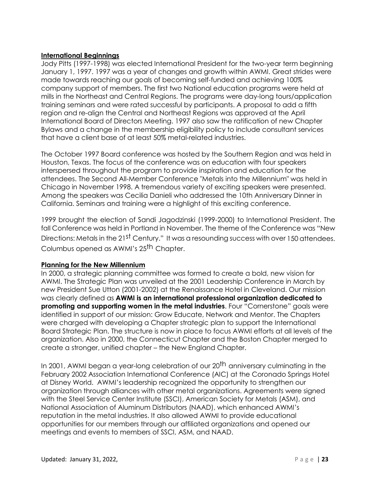### **International Beginnings**

Jody Pitts (1997-1998) was elected International President for the two-year term beginning January 1, 1997. 1997 was a year of changes and growth within AWMI. Great strides were made towards reaching our goals of becoming self-funded and achieving 100% company support of members. The first two National education programs were held at mills in the Northeast and Central Regions. The programs were day-long tours/application training seminars and were rated successful by participants. A proposal to add a fifth region and re-align the Central and Northeast Regions was approved at the April International Board of Directors Meeting. 1997 also saw the ratification of new Chapter Bylaws and a change in the membership eligibility policy to include consultant services that have a client base of at least 50% metal-related industries.

The October 1997 Board conference was hosted by the Southern Region and was held in Houston, Texas. The focus of the conference was on education with four speakers interspersed throughout the program to provide inspiration and education for the attendees. The Second All-Member Conference "Metals into the Millennium" was held in Chicago in November 1998. A tremendous variety of exciting speakers were presented. Among the speakers was Cecilia Danieli who addressed the 10th Anniversary Dinner in California. Seminars and training were a highlight of this exciting conference.

1999 brought the election of Sandi Jagodzinski (1999-2000) to International President. The fall Conference was held in Portland in November. The theme of the Conference was "New Directions: Metals in the 21<sup>st</sup> Century." It was a resounding success with over 150 attendees. Columbus opened as AWMI's 25<sup>th</sup> Chapter.

# **Planning for the New Millennium**

In 2000, a strategic planning committee was formed to create a bold, new vision for AWMI. The Strategic Plan was unveiled at the 2001 Leadership Conference in March by new President Sue Utton (2001-2002) at the Renaissance Hotel in Cleveland. Our mission was clearly defined as **AWMI is an international professional organization dedicated to promoting and supporting women in the metal industries**. Four "Cornerstone" goals were identified in support of our mission: Grow Educate, Network and Mentor. The Chapters were charged with developing a Chapter strategic plan to support the International Board Strategic Plan. The structure is now in place to focus AWMI efforts at all levels of the organization. Also in 2000, the Connecticut Chapter and the Boston Chapter merged to create a stronger, unified chapter – the New England Chapter.

In 2001, AWMI began a year-long celebration of our 20<sup>th</sup> anniversary culminating in the February 2002 Association International Conference (AIC) at the Coronado Springs Hotel at Disney World. AWMI's leadership recognized the opportunity to strengthen our organization through alliances with other metal organizations. Agreements were signed with the Steel Service Center Institute (SSCI), American Society for Metals (ASM), and National Association of Aluminum Distributors (NAAD), which enhanced AWMI's reputation in the metal industries. It also allowed AWMI to provide educational opportunities for our members through our affiliated organizations and opened our meetings and events to members of SSCI, ASM, and NAAD.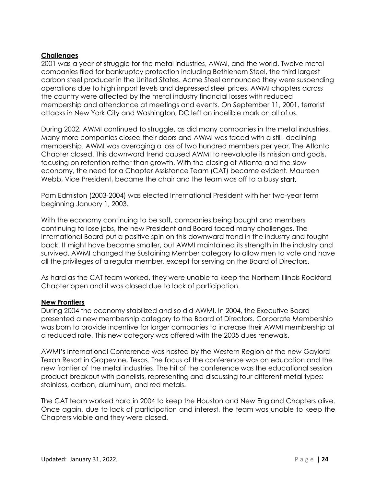## **Challenges**

2001 was a year of struggle for the metal industries, AWMI, and the world. Twelve metal companies filed for bankruptcy protection including Bethlehem Steel, the third largest carbon steel producer in the United States. Acme Steel announced they were suspending operations due to high import levels and depressed steel prices. AWMI chapters across the country were affected by the metal industry financial losses with reduced membership and attendance at meetings and events. On September 11, 2001, terrorist attacks in New York City and Washington, DC left an indelible mark on all of us.

During 2002, AWMI continued to struggle, as did many companies in the metal industries. Many more companies closed their doors and AWMI was faced with a still- declining membership. AWMI was averaging a loss of two hundred members per year. The Atlanta Chapter closed. This downward trend caused AWMI to reevaluate its mission and goals, focusing on retention rather than growth. With the closing of Atlanta and the slow economy, the need for a Chapter Assistance Team (CAT) became evident. Maureen Webb, Vice President, became the chair and the team was off to a busy start.

Pam Edmiston (2003-2004) was elected International President with her two-year term beginning January 1, 2003.

With the economy continuing to be soft, companies being bought and members continuing to lose jobs, the new President and Board faced many challenges. The International Board put a positive spin on this downward trend in the industry and fought back. It might have become smaller, but AWMI maintained its strength in the industry and survived. AWMI changed the Sustaining Member category to allow men to vote and have all the privileges of a regular member, except for serving on the Board of Directors.

As hard as the CAT team worked, they were unable to keep the Northern Illinois Rockford Chapter open and it was closed due to lack of participation.

### **New Frontiers**

During 2004 the economy stabilized and so did AWMI. In 2004, the Executive Board presented a new membership category to the Board of Directors. Corporate Membership was born to provide incentive for larger companies to increase their AWMI membership at a reduced rate. This new category was offered with the 2005 dues renewals.

AWMI's International Conference was hosted by the Western Region at the new Gaylord Texan Resort in Grapevine, Texas. The focus of the conference was on education and the new frontier of the metal industries. The hit of the conference was the educational session product breakout with panelists, representing and discussing four different metal types: stainless, carbon, aluminum, and red metals.

The CAT team worked hard in 2004 to keep the Houston and New England Chapters alive. Once again, due to lack of participation and interest, the team was unable to keep the Chapters viable and they were closed.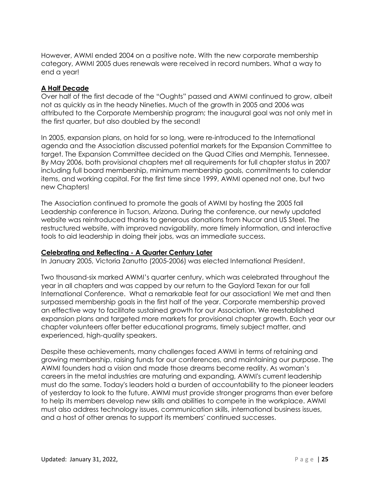However, AWMI ended 2004 on a positive note. With the new corporate membership category, AWMI 2005 dues renewals were received in record numbers. What a way to end a year!

## **A Half Decade**

Over half of the first decade of the "Oughts" passed and AWMI continued to grow, albeit not as quickly as in the heady Nineties. Much of the growth in 2005 and 2006 was attributed to the Corporate Membership program; the inaugural goal was not only met in the first quarter, but also doubled by the second!

In 2005, expansion plans, on hold for so long, were re-introduced to the International agenda and the Association discussed potential markets for the Expansion Committee to target. The Expansion Committee decided on the Quad Cities and Memphis, Tennessee. By May 2006, both provisional chapters met all requirements for full chapter status in 2007 including full board membership, minimum membership goals, commitments to calendar items, and working capital. For the first time since 1999, AWMI opened not one, but two new Chapters!

The Association continued to promote the goals of AWMI by hosting the 2005 fall Leadership conference in Tucson, Arizona. During the conference, our newly updated website was reintroduced thanks to generous donations from Nucor and US Steel. The restructured website, with improved navigability, more timely information, and interactive tools to aid leadership in doing their jobs, was an immediate success.

### **Celebrating and Reflecting - A Quarter Century Later**

In January 2005, Victoria Zanutto (2005-2006) was elected International President.

Two thousand-six marked AWMI's quarter century, which was celebrated throughout the year in all chapters and was capped by our return to the Gaylord Texan for our fall International Conference. What a remarkable feat for our association! We met and then surpassed membership goals in the first half of the year. Corporate membership proved an effective way to facilitate sustained growth for our Association. We reestablished expansion plans and targeted more markets for provisional chapter growth. Each year our chapter volunteers offer better educational programs, timely subject matter, and experienced, high-quality speakers.

Despite these achievements, many challenges faced AWMI in terms of retaining and growing membership, raising funds for our conferences, and maintaining our purpose. The AWMI founders had a vision and made those dreams become reality. As woman's careers in the metal industries are maturing and expanding, AWMI's current leadership must do the same. Today's leaders hold a burden of accountability to the pioneer leaders of yesterday to look to the future. AWMI must provide stronger programs than ever before to help its members develop new skills and abilities to compete in the workplace. AWMI must also address technology issues, communication skills, international business issues, and a host of other arenas to support its members' continued successes.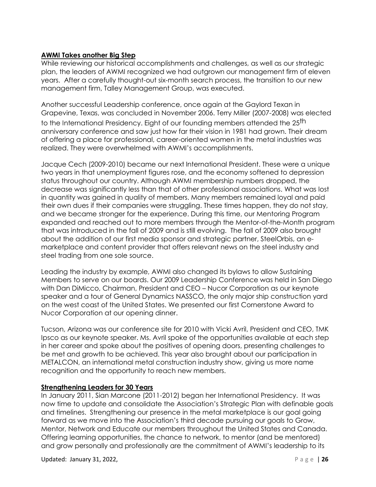# **AWMI Takes another Big Step**

While reviewing our historical accomplishments and challenges, as well as our strategic plan, the leaders of AWMI recognized we had outgrown our management firm of eleven years. After a carefully thought-out six-month search process, the transition to our new management firm, Talley Management Group, was executed.

Another successful Leadership conference, once again at the Gaylord Texan in Grapevine, Texas, was concluded in November 2006. Terry Miller (2007-2008) was elected to the International Presidency. Eight of our founding members attended the 25<sup>th</sup> anniversary conference and saw just how far their vision in 1981 had grown. Their dream of offering a place for professional, career-oriented women in the metal industries was realized. They were overwhelmed with AWMI's accomplishments.

Jacque Cech (2009-2010) became our next International President. These were a unique two years in that unemployment figures rose, and the economy softened to depression status throughout our country. Although AWMI membership numbers dropped, the decrease was significantly less than that of other professional associations. What was lost in quantity was gained in quality of members. Many members remained loyal and paid their own dues if their companies were struggling. These times happen, they do not stay, and we became stronger for the experience. During this time, our Mentoring Program expanded and reached out to more members through the Mentor-of-the-Month program that was introduced in the fall of 2009 and is still evolving. The fall of 2009 also brought about the addition of our first media sponsor and strategic partner, SteelOrbis, an emarketplace and content provider that offers relevant news on the steel industry and steel trading from one sole source.

Leading the industry by example, AWMI also changed its bylaws to allow Sustaining Members to serve on our boards. Our 2009 Leadership Conference was held in San Diego with Dan DiMicco, Chairman, President and CEO – Nucor Corporation as our keynote speaker and a tour of General Dynamics NASSCO, the only major ship construction yard on the west coast of the United States. We presented our first Cornerstone Award to Nucor Corporation at our opening dinner.

Tucson, Arizona was our conference site for 2010 with Vicki Avril, President and CEO, TMK Ipsco as our keynote speaker. Ms. Avril spoke of the opportunities available at each step in her career and spoke about the positives of opening doors, presenting challenges to be met and growth to be achieved. This year also brought about our participation in METALCON, an international metal construction industry show, giving us more name recognition and the opportunity to reach new members.

### **Strengthening Leaders for 30 Years**

In January 2011, Sian Marcone (2011-2012) began her International Presidency. It was now time to update and consolidate the Association's Strategic Plan with definable goals and timelines. Strengthening our presence in the metal marketplace is our goal going forward as we move into the Association's third decade pursuing our goals to Grow, Mentor, Network and Educate our members throughout the United States and Canada. Offering learning opportunities, the chance to network, to mentor (and be mentored) and grow personally and professionally are the commitment of AWMI's leadership to its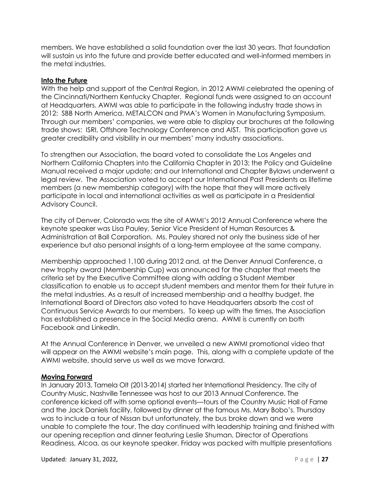members. We have established a solid foundation over the last 30 years. That foundation will sustain us into the future and provide better educated and well-informed members in the metal industries.

## **Into the Future**

With the help and support of the Central Region, in 2012 AWMI celebrated the opening of the Cincinnati/Northern Kentucky Chapter. Regional funds were assigned to an account at Headquarters. AWMI was able to participate in the following industry trade shows in 2012: SBB North America, METALCON and PMA's Women in Manufacturing Symposium. Through our members' companies, we were able to display our brochures at the following trade shows: ISRI, Offshore Technology Conference and AIST. This participation gave us greater credibility and visibility in our members' many industry associations.

To strengthen our Association, the board voted to consolidate the Los Angeles and Northern California Chapters into the California Chapter in 2013; the Policy and Guideline Manual received a major update; and our International and Chapter Bylaws underwent a legal review. The Association voted to accept our International Past Presidents as lifetime members (a new membership category) with the hope that they will more actively participate in local and international activities as well as participate in a Presidential Advisory Council.

The city of Denver, Colorado was the site of AWMI's 2012 Annual Conference where the keynote speaker was Lisa Pauley, Senior Vice President of Human Resources & Administration at Ball Corporation. Ms. Pauley shared not only the business side of her experience but also personal insights of a long-term employee at the same company.

Membership approached 1,100 during 2012 and, at the Denver Annual Conference, a new trophy award (Membership Cup) was announced for the chapter that meets the criteria set by the Executive Committee along with adding a Student Member classification to enable us to accept student members and mentor them for their future in the metal industries. As a result of increased membership and a healthy budget, the International Board of Directors also voted to have Headquarters absorb the cost of Continuous Service Awards to our members. To keep up with the times, the Association has established a presence in the Social Media arena. AWMI is currently on both Facebook and LinkedIn.

At the Annual Conference in Denver, we unveiled a new AWMI promotional video that will appear on the AWMI website's main page. This, along with a complete update of the AWMI website, should serve us well as we move forward.

### **Moving Forward**

In January 2013, Tamela Olt (2013-2014) started her International Presidency. The city of Country Music, Nashville Tennessee was host to our 2013 Annual Conference. The conference kicked off with some optional events—tours of the Country Music Hall of Fame and the Jack Daniels facility, followed by dinner at the famous Ms. Mary Bobo's. Thursday was to include a tour of Nissan but unfortunately, the bus broke down and we were unable to complete the tour. The day continued with leadership training and finished with our opening reception and dinner featuring Leslie Shuman, Director of Operations Readiness, Alcoa, as our keynote speaker. Friday was packed with multiple presentations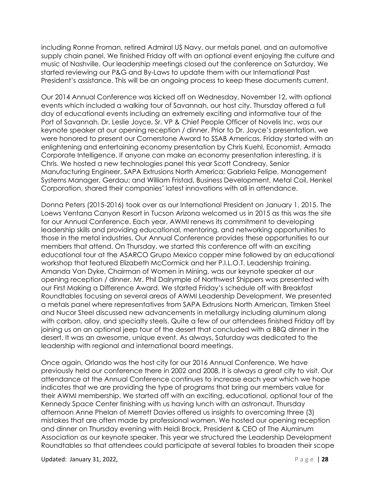including Ronne Froman, retired Admiral US Navy, our metals panel, and an automotive supply chain panel. We finished Friday off with an optional event enjoying the culture and music of Nashville. Our leadership meetings closed out the conference on Saturday. We started reviewing our P&G and By-Laws to update them with our International Past President's assistance. This will be an ongoing process to keep these documents current.

Our 2014 Annual Conference was kicked off on Wednesday, November 12, with optional events which included a walking tour of Savannah, our host city. Thursday offered a full day of educational events including an extremely exciting and informative tour of the Port of Savannah. Dr. Leslie Joyce, Sr. VP & Chief People Officer of Novelis Inc. was our keynote speaker at our opening reception / dinner. Prior to Dr. Joyce's presentation, we were honored to present our Cornerstone Award to SSAB Americas. Friday started with an enlightening and entertaining economy presentation by Chris Kuehl, Economist, Armada Corporate Intelligence. If anyone can make an economy presentation interesting, it is Chris. We hosted a new technologies panel this year Scott Condreay, Senior Manufacturing Engineer, SAPA Extrusions North America; Gabriela Felipe, Management Systems Manager, Gerdau; and William Fristad, Business Development, Metal Coil, Henkel Corporation, shared their companies' latest innovations with all in attendance.

Donna Peters (2015-2016) took over as our International President on January 1, 2015. The Loews Ventana Canyon Resort in Tucson Arizona welcomed us in 2015 as this was the site for our Annual Conference. Each year, AWMI renews its commitment to developing leadership skills and providing educational, mentoring, and networking opportunities to those in the metal industries. Our Annual Conference provides these opportunities to our members that attend. On Thursday, we started this conference off with an exciting educational tour at the ASARCO Grupo Mexico copper mine followed by an educational workshop that featured Elizabeth McCormick and her P.I.L.O.T. Leadership training. Amanda Van Dyke, Chairman of Women in Mining, was our keynote speaker at our opening reception / dinner. Mr. Phil Dalrymple of Northwest Shippers was presented with our First Making a Difference Award. We started Friday's schedule off with Breakfast Roundtables focusing on several areas of AWMI Leadership Development. We presented a metals panel where representatives from SAPA Extrusions North American, Timken Steel and Nucor Steel discussed new advancements in metallurgy including aluminum along with carbon, alloy, and specialty steels. Quite a few of our attendees finished Friday off by joining us on an optional jeep tour of the desert that concluded with a BBQ dinner in the desert. It was an awesome, unique event. As always, Saturday was dedicated to the leadership with regional and international board meetings.

Once again, Orlando was the host city for our 2016 Annual Conference. We have previously held our conference there in 2002 and 2008. It is always a great city to visit. Our attendance at the Annual Conference continues to increase each year which we hope indicates that we are providing the type of programs that bring our members value for their AWMI membership. We started off with an exciting, educational, optional tour of the Kennedy Space Center finishing with us having lunch with an astronaut. Thursday afternoon Anne Phelan of Merrett Davies offered us insights to overcoming three (3) mistakes that are often made by professional women. We hosted our opening reception and dinner on Thursday evening with Heidi Brock, President & CEO of The Aluminum Association as our keynote speaker. This year we structured the Leadership Development Roundtables so that attendees could participate at several tables to broaden their scope

Updated: January 31, 2022, P a g e | **28**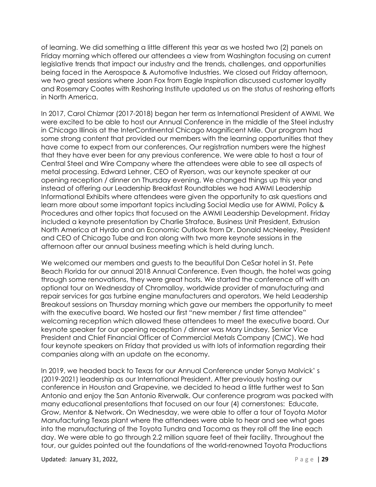of learning. We did something a little different this year as we hosted two (2) panels on Friday morning which offered our attendees a view from Washington focusing on current legislative trends that impact our industry and the trends, challenges, and opportunities being faced in the Aerospace & Automotive Industries. We closed out Friday afternoon, we two great sessions where Joan Fox from Eagle Inspiration discussed customer loyalty and Rosemary Coates with Reshoring Institute updated us on the status of reshoring efforts in North America.

In 2017, Carol Chizmar (2017-2018) began her term as International President of AWMI. We were excited to be able to host our Annual Conference in the middle of the Steel industry in Chicago Illinois at the InterContinental Chicago Magnificent Mile. Our program had some strong content that provided our members with the learning opportunities that they have come to expect from our conferences. Our registration numbers were the highest that they have ever been for any previous conference. We were able to host a tour of Central Steel and Wire Company where the attendees were able to see all aspects of metal processing. Edward Lehner, CEO of Ryerson, was our keynote speaker at our opening reception / dinner on Thursday evening. We changed things up this year and instead of offering our Leadership Breakfast Roundtables we had AWMI Leadership Informational Exhibits where attendees were given the opportunity to ask questions and learn more about some important topics including Social Media use for AWMI, Policy & Procedures and other topics that focused on the AWMI Leadership Development. Friday included a keynote presentation by Charlie Straface, Business Unit President, Extrusion North America at Hyrdo and an Economic Outlook from Dr. Donald McNeeley, President and CEO of Chicago Tube and Iron along with two more keynote sessions in the afternoon after our annual business meeting which is held during lunch.

We welcomed our members and guests to the beautiful Don CeSar hotel in St. Pete Beach Florida for our annual 2018 Annual Conference. Even though, the hotel was going through some renovations, they were great hosts. We started the conference off with an optional tour on Wednesday of Chromalloy, worldwide provider of manufacturing and repair services for gas turbine engine manufacturers and operators. We held Leadership Breakout sessions on Thursday morning which gave our members the opportunity to meet with the executive board. We hosted our first "new member / first time attendee" welcoming reception which allowed these attendees to meet the executive board. Our keynote speaker for our opening reception / dinner was Mary Lindsey, Senior Vice President and Chief Financial Officer of Commercial Metals Company (CMC). We had four keynote speakers on Friday that provided us with lots of information regarding their companies along with an update on the economy.

In 2019, we headed back to Texas for our Annual Conference under Sonya Malvick' s (2019-2021) leadership as our International President. After previously hosting our conference in Houston and Grapevine, we decided to head a little further west to San Antonio and enjoy the San Antonio Riverwalk. Our conference program was packed with many educational presentations that focused on our four (4) cornerstones: Educate, Grow, Mentor & Network. On Wednesday, we were able to offer a tour of Toyota Motor Manufacturing Texas plant where the attendees were able to hear and see what goes into the manufacturing of the Toyota Tundra and Tacoma as they roll off the line each day. We were able to go through 2.2 million square feet of their facility. Throughout the tour, our guides pointed out the foundations of the world-renowned Toyota Productions

Updated: January 31, 2022, P a g e | **29**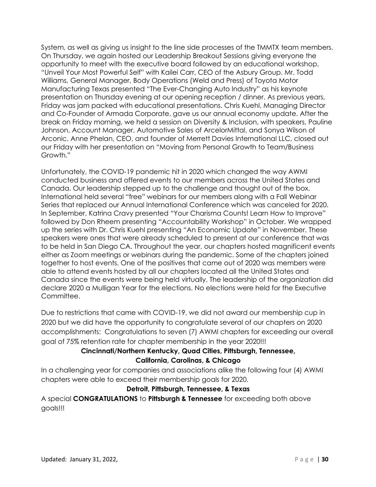System, as well as giving us insight to the line side processes of the TMMTX team members. On Thursday, we again hosted our Leadership Breakout Sessions giving everyone the opportunity to meet with the executive board followed by an educational workshop, "Unveil Your Most Powerful Self" with Kailei Carr, CEO of the Asbury Group. Mr. Todd Williams, General Manager, Body Operations (Weld and Press) of Toyota Motor Manufacturing Texas presented "The Ever-Changing Auto Industry" as his keynote presentation on Thursday evening at our opening reception / dinner. As previous years, Friday was jam packed with educational presentations. Chris Kuehl, Managing Director and Co-Founder of Armada Corporate, gave us our annual economy update. After the break on Friday morning, we held a session on Diversity & Inclusion, with speakers, Pauline Johnson, Account Manager, Automotive Sales of ArcelorMittal, and Sonya Wilson of Arconic. Anne Phelan, CEO, and founder of Merrett Davies International LLC, closed out our Friday with her presentation on "Moving from Personal Growth to Team/Business Growth."

Unfortunately, the COVID-19 pandemic hit in 2020 which changed the way AWMI conducted business and offered events to our members across the United States and Canada. Our leadership stepped up to the challenge and thought out of the box. International held several "free" webinars for our members along with a Fall Webinar Series that replaced our Annual International Conference which was canceled for 2020. In September, Katrina Cravy presented "Your Charisma Counts! Learn How to Improve" followed by Don Rheem presenting "Accountability Workshop" in October. We wrapped up the series with Dr. Chris Kuehl presenting "An Economic Update" in November. These speakers were ones that were already scheduled to present at our conference that was to be held in San Diego CA. Throughout the year, our chapters hosted magnificent events either as Zoom meetings or webinars during the pandemic. Some of the chapters joined together to host events. One of the positives that came out of 2020 was members were able to attend events hosted by all our chapters located all the United States and Canada since the events were being held virtually. The leadership of the organization did declare 2020 a Mulligan Year for the elections. No elections were held for the Executive Committee.

Due to restrictions that came with COVID-19, we did not award our membership cup in 2020 but we did have the opportunity to congratulate several of our chapters on 2020 accomplishments: Congratulations to seven (7) AWMI chapters for exceeding our overall goal of 75% retention rate for chapter membership in the year 2020!!!

# **Cincinnati/Northern Kentucky, Quad Cities, Pittsburgh, Tennessee,**

# **California, Carolinas, & Chicago**

In a challenging year for companies and associations alike the following four (4) AWMI chapters were able to exceed their membership goals for 2020.

# **Detroit, Pittsburgh, Tennessee, & Texas**

A special **CONGRATULATIONS** to **Pittsburgh & Tennessee** for exceeding both above goals!!!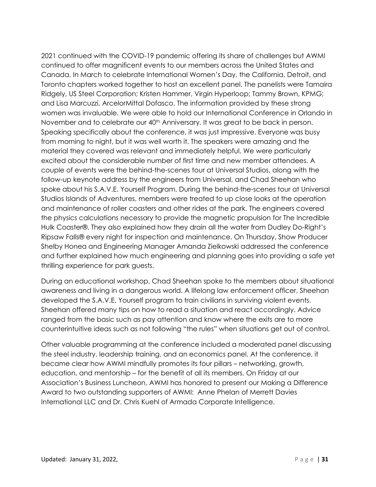2021 continued with the COVID-19 pandemic offering its share of challenges but AWMI continued to offer magnificent events to our members across the United States and Canada. In March to celebrate International Women's Day, the California, Detroit, and Toronto chapters worked together to host an excellent panel. The panelists were Tamaira Ridgely, US Steel Corporation; Kristen Hammer, Virgin Hyperloop; Tammy Brown, KPMG; and Lisa Marcuzzi, ArcelorMittal Dofasco. The information provided by these strong women was invaluable. We were able to hold our International Conference in Orlando in November and to celebrate our 40<sup>th</sup> Anniversary. It was great to be back in person. Speaking specifically about the conference, it was just impressive. Everyone was busy from morning to night, but it was well worth it. The speakers were amazing and the material they covered was relevant and immediately helpful. We were particularly excited about the considerable number of first time and new member attendees. A couple of events were the behind-the-scenes tour at Universal Studios, along with the follow-up keynote address by the engineers from Universal, and Chad Sheehan who spoke about his S.A.V.E. Yourself Program. During the behind-the-scenes tour at Universal Studios Islands of Adventures, members were treated to up close looks at the operation and maintenance of roller coasters and other rides at the park. The engineers covered the physics calculations necessary to provide the magnetic propulsion for The Incredible Hulk Coaster®. They also explained how they drain all the water from Dudley Do-Right's Ripsaw Falls® every night for inspection and maintenance. On Thursday, Show Producer Shelby Honea and Engineering Manager Amanda Zielkowski addressed the conference and further explained how much engineering and planning goes into providing a safe yet thrilling experience for park guests.

During an educational workshop, Chad Sheehan spoke to the members about situational awareness and living in a dangerous world. A lifelong law enforcement officer, Sheehan developed the S.A.V.E. Yourself program to train civilians in surviving violent events. Sheehan offered many tips on how to read a situation and react accordingly. Advice ranged from the basic such as pay attention and know where the exits are to more counterintuitive ideas such as not following "the rules" when situations get out of control.

Other valuable programming at the conference included a moderated panel discussing the steel industry, leadership training, and an economics panel. At the conference, it became clear how AWMI mindfully promotes its four pillars – networking, growth, education, and mentorship – for the benefit of all its members. On Friday at our Association's Business Luncheon, AWMI has honored to present our Making a Difference Award to two outstanding supporters of AWMI: Anne Phelan of Merrett Davies International LLC and Dr. Chris Kuehl of Armada Corporate Intelligence.